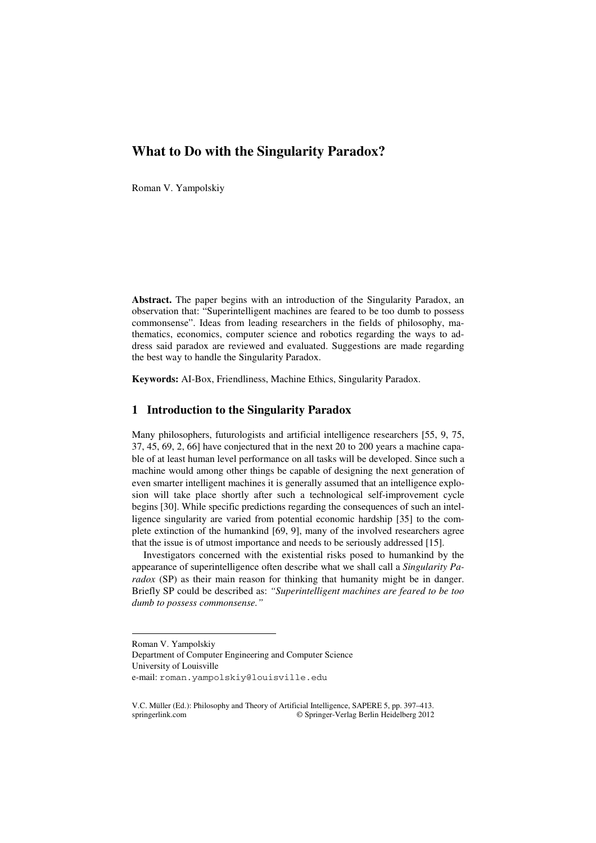Roman V. Yampolskiy\*

**Abstract.** The paper begins with an introduction of the Singularity Paradox, an observation that: "Superintelligent machines are feared to be too dumb to possess commonsense". Ideas from leading researchers in the fields of philosophy, mathematics, economics, computer science and robotics regarding the ways to address said paradox are reviewed and evaluated. Suggestions are made regarding the best way to handle the Singularity Paradox.

**Keywords:** AI-Box, Friendliness, Machine Ethics, Singularity Paradox.

### **1 Introduction to the Singularity Paradox**

Many philosophers, futurologists and artificial intelligence researchers [55, 9, 75, 37, 45, 69, 2, 66] have conjectured that in the next 20 to 200 years a machine capable of at least human level performance on all tasks will be developed. Since such a machine would among other things be capable of designing the next generation of even smarter intelligent machines it is generally assumed that an intelligence explosion will take place shortly after such a technological self-improvement cycle begins [30]. While specific predictions regarding the consequences of such an intelligence singularity are varied from potential economic hardship [35] to the complete extinction of the humankind [69, 9], many of the involved researchers agree that the issue is of utmost importance and needs to be seriously addressed [15].

Investigators concerned with the existential risks posed to humankind by the appearance of superintelligence often describe what we shall call a *Singularity Paradox* (SP) as their main reason for thinking that humanity might be in danger. Briefly SP could be described as: *"Superintelligent machines are feared to be too dumb to possess commonsense."*

Roman V. Yampolskiy Department of Computer Engineering and Computer Science University of Louisville e-mail: roman.yampolskiy@louisville.edu

-

V.C. Müller (Ed.): Philosophy and Theory of Artificial Intelligence, SAPERE 5, pp. 397–413. springerlink.com © Springer-Verlag Berlin Heidelberg 2012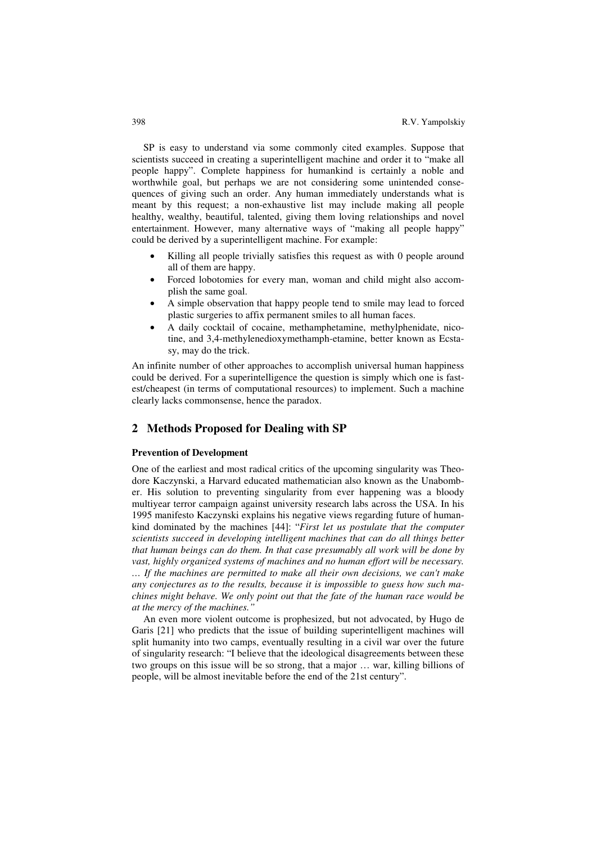SP is easy to understand via some commonly cited examples. Suppose that scientists succeed in creating a superintelligent machine and order it to "make all people happy". Complete happiness for humankind is certainly a noble and worthwhile goal, but perhaps we are not considering some unintended consequences of giving such an order. Any human immediately understands what is meant by this request; a non-exhaustive list may include making all people healthy, wealthy, beautiful, talented, giving them loving relationships and novel entertainment. However, many alternative ways of "making all people happy" could be derived by a superintelligent machine. For example:

- Killing all people trivially satisfies this request as with 0 people around all of them are happy.
- Forced lobotomies for every man, woman and child might also accomplish the same goal.
- A simple observation that happy people tend to smile may lead to forced plastic surgeries to affix permanent smiles to all human faces.
- A daily cocktail of cocaine, methamphetamine, methylphenidate, nicotine, and 3,4-methylenedioxymethamph-etamine, better known as Ecstasy, may do the trick.

An infinite number of other approaches to accomplish universal human happiness could be derived. For a superintelligence the question is simply which one is fastest/cheapest (in terms of computational resources) to implement. Such a machine clearly lacks commonsense, hence the paradox.

### **2 Methods Proposed for Dealing with SP**

#### **Prevention of Development**

One of the earliest and most radical critics of the upcoming singularity was Theodore Kaczynski, a Harvard educated mathematician also known as the Unabomber. His solution to preventing singularity from ever happening was a bloody multiyear terror campaign against university research labs across the USA. In his 1995 manifesto Kaczynski explains his negative views regarding future of humankind dominated by the machines [44]: "*First let us postulate that the computer scientists succeed in developing intelligent machines that can do all things better that human beings can do them. In that case presumably all work will be done by vast, highly organized systems of machines and no human effort will be necessary. … If the machines are permitted to make all their own decisions, we can't make any conjectures as to the results, because it is impossible to guess how such machines might behave. We only point out that the fate of the human race would be at the mercy of the machines."* 

An even more violent outcome is prophesized, but not advocated, by Hugo de Garis [21] who predicts that the issue of building superintelligent machines will split humanity into two camps, eventually resulting in a civil war over the future of singularity research: "I believe that the ideological disagreements between these two groups on this issue will be so strong, that a major … war, killing billions of people, will be almost inevitable before the end of the 21st century".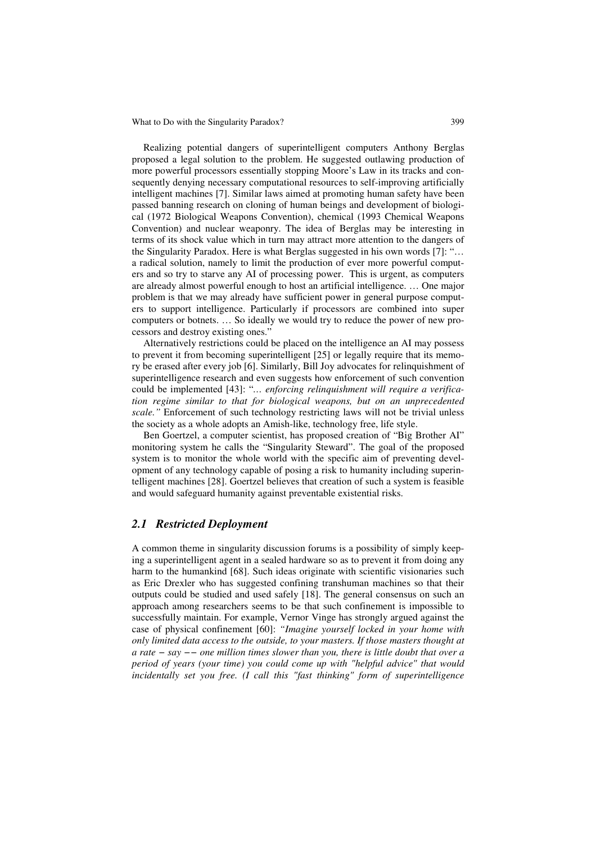Realizing potential dangers of superintelligent computers Anthony Berglas proposed a legal solution to the problem. He suggested outlawing production of more powerful processors essentially stopping Moore's Law in its tracks and consequently denying necessary computational resources to self-improving artificially intelligent machines [7]. Similar laws aimed at promoting human safety have been passed banning research on cloning of human beings and development of biological (1972 Biological Weapons Convention), chemical (1993 Chemical Weapons Convention) and nuclear weaponry. The idea of Berglas may be interesting in terms of its shock value which in turn may attract more attention to the dangers of the Singularity Paradox. Here is what Berglas suggested in his own words [7]: "… a radical solution, namely to limit the production of ever more powerful computers and so try to starve any AI of processing power. This is urgent, as computers are already almost powerful enough to host an artificial intelligence. … One major problem is that we may already have sufficient power in general purpose computers to support intelligence. Particularly if processors are combined into super computers or botnets. … So ideally we would try to reduce the power of new processors and destroy existing ones."

Alternatively restrictions could be placed on the intelligence an AI may possess to prevent it from becoming superintelligent [25] or legally require that its memory be erased after every job [6]. Similarly, Bill Joy advocates for relinquishment of superintelligence research and even suggests how enforcement of such convention could be implemented [43]: "*… enforcing relinquishment will require a verification regime similar to that for biological weapons, but on an unprecedented scale."* Enforcement of such technology restricting laws will not be trivial unless the society as a whole adopts an Amish-like, technology free, life style.

Ben Goertzel, a computer scientist, has proposed creation of "Big Brother AI" monitoring system he calls the "Singularity Steward". The goal of the proposed system is to monitor the whole world with the specific aim of preventing development of any technology capable of posing a risk to humanity including superintelligent machines [28]. Goertzel believes that creation of such a system is feasible and would safeguard humanity against preventable existential risks.

## *2.1 Restricted Deployment*

A common theme in singularity discussion forums is a possibility of simply keeping a superintelligent agent in a sealed hardware so as to prevent it from doing any harm to the humankind [68]. Such ideas originate with scientific visionaries such as Eric Drexler who has suggested confining transhuman machines so that their outputs could be studied and used safely [18]. The general consensus on such an approach among researchers seems to be that such confinement is impossible to successfully maintain. For example, Vernor Vinge has strongly argued against the case of physical confinement [60]: *"Imagine yourself locked in your home with only limited data access to the outside, to your masters. If those masters thought at a rate − say −− one million times slower than you, there is little doubt that over a period of years (your time) you could come up with "helpful advice" that would incidentally set you free. (I call this "fast thinking" form of superintelligence*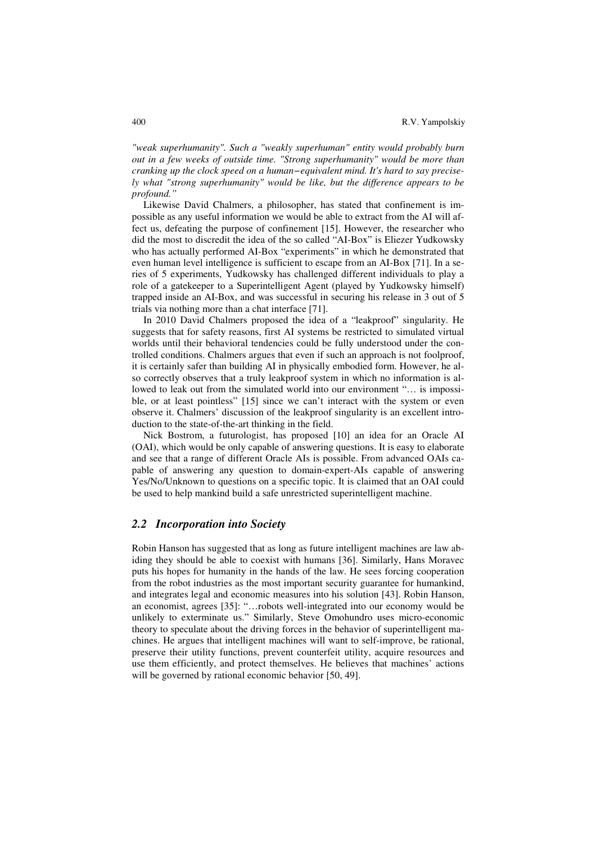*"weak superhumanity". Such a "weakly superhuman" entity would probably burn out in a few weeks of outside time. "Strong superhumanity" would be more than cranking up the clock speed on a human−equivalent mind. It's hard to say precisely what "strong superhumanity" would be like, but the difference appears to be profound."* 

Likewise David Chalmers, a philosopher, has stated that confinement is impossible as any useful information we would be able to extract from the AI will affect us, defeating the purpose of confinement [15]. However, the researcher who did the most to discredit the idea of the so called "AI-Box" is Eliezer Yudkowsky who has actually performed AI-Box "experiments" in which he demonstrated that even human level intelligence is sufficient to escape from an AI-Box [71]. In a series of 5 experiments, Yudkowsky has challenged different individuals to play a role of a gatekeeper to a Superintelligent Agent (played by Yudkowsky himself) trapped inside an AI-Box, and was successful in securing his release in 3 out of 5 trials via nothing more than a chat interface [71].

In 2010 David Chalmers proposed the idea of a "leakproof" singularity. He suggests that for safety reasons, first AI systems be restricted to simulated virtual worlds until their behavioral tendencies could be fully understood under the controlled conditions. Chalmers argues that even if such an approach is not foolproof, it is certainly safer than building AI in physically embodied form. However, he also correctly observes that a truly leakproof system in which no information is allowed to leak out from the simulated world into our environment "… is impossible, or at least pointless" [15] since we can't interact with the system or even observe it. Chalmers' discussion of the leakproof singularity is an excellent introduction to the state-of-the-art thinking in the field.

Nick Bostrom, a futurologist, has proposed [10] an idea for an Oracle AI (OAI), which would be only capable of answering questions. It is easy to elaborate and see that a range of different Oracle AIs is possible. From advanced OAIs capable of answering any question to domain-expert-AIs capable of answering Yes/No/Unknown to questions on a specific topic. It is claimed that an OAI could be used to help mankind build a safe unrestricted superintelligent machine.

#### *2.2 Incorporation into Society*

Robin Hanson has suggested that as long as future intelligent machines are law abiding they should be able to coexist with humans [36]. Similarly, Hans Moravec puts his hopes for humanity in the hands of the law. He sees forcing cooperation from the robot industries as the most important security guarantee for humankind, and integrates legal and economic measures into his solution [43]. Robin Hanson, an economist, agrees [35]: "…robots well-integrated into our economy would be unlikely to exterminate us." Similarly, Steve Omohundro uses micro-economic theory to speculate about the driving forces in the behavior of superintelligent machines. He argues that intelligent machines will want to self-improve, be rational, preserve their utility functions, prevent counterfeit utility, acquire resources and use them efficiently, and protect themselves. He believes that machines' actions will be governed by rational economic behavior [50, 49].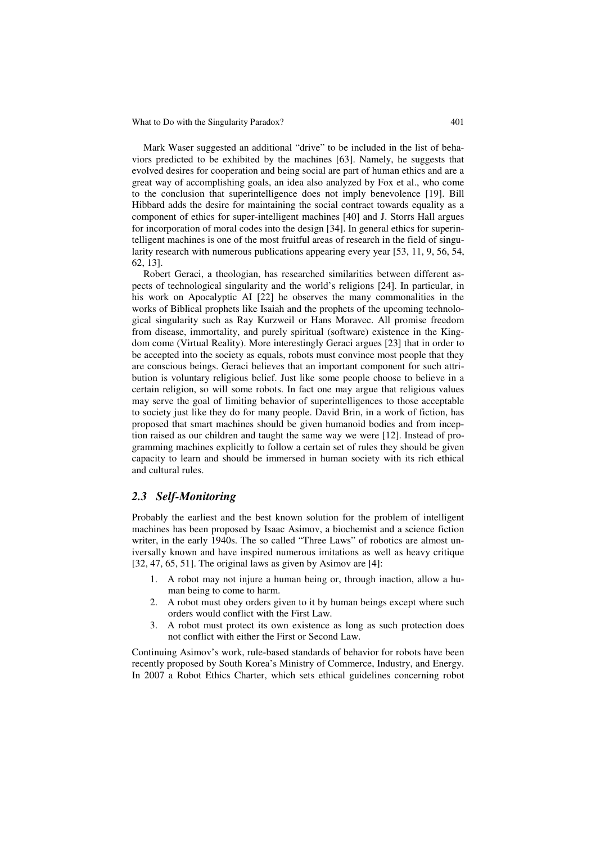Mark Waser suggested an additional "drive" to be included in the list of behaviors predicted to be exhibited by the machines [63]. Namely, he suggests that evolved desires for cooperation and being social are part of human ethics and are a great way of accomplishing goals, an idea also analyzed by Fox et al., who come to the conclusion that superintelligence does not imply benevolence [19]. Bill Hibbard adds the desire for maintaining the social contract towards equality as a component of ethics for super-intelligent machines [40] and J. Storrs Hall argues for incorporation of moral codes into the design [34]. In general ethics for superintelligent machines is one of the most fruitful areas of research in the field of singularity research with numerous publications appearing every year [53, 11, 9, 56, 54, 62, 13].

Robert Geraci, a theologian, has researched similarities between different aspects of technological singularity and the world's religions [24]. In particular, in his work on Apocalyptic AI [22] he observes the many commonalities in the works of Biblical prophets like Isaiah and the prophets of the upcoming technological singularity such as Ray Kurzweil or Hans Moravec. All promise freedom from disease, immortality, and purely spiritual (software) existence in the Kingdom come (Virtual Reality). More interestingly Geraci argues [23] that in order to be accepted into the society as equals, robots must convince most people that they are conscious beings. Geraci believes that an important component for such attribution is voluntary religious belief. Just like some people choose to believe in a certain religion, so will some robots. In fact one may argue that religious values may serve the goal of limiting behavior of superintelligences to those acceptable to society just like they do for many people. David Brin, in a work of fiction, has proposed that smart machines should be given humanoid bodies and from inception raised as our children and taught the same way we were [12]. Instead of programming machines explicitly to follow a certain set of rules they should be given capacity to learn and should be immersed in human society with its rich ethical and cultural rules.

#### *2.3 Self-Monitoring*

Probably the earliest and the best known solution for the problem of intelligent machines has been proposed by Isaac Asimov, a biochemist and a science fiction writer, in the early 1940s. The so called "Three Laws" of robotics are almost universally known and have inspired numerous imitations as well as heavy critique [32, 47, 65, 51]. The original laws as given by Asimov are [4]:

- 1. A robot may not injure a human being or, through inaction, allow a human being to come to harm.
- 2. A robot must obey orders given to it by human beings except where such orders would conflict with the First Law.
- 3. A robot must protect its own existence as long as such protection does not conflict with either the First or Second Law.

Continuing Asimov's work, rule-based standards of behavior for robots have been recently proposed by South Korea's Ministry of Commerce, Industry, and Energy. In 2007 a Robot Ethics Charter, which sets ethical guidelines concerning robot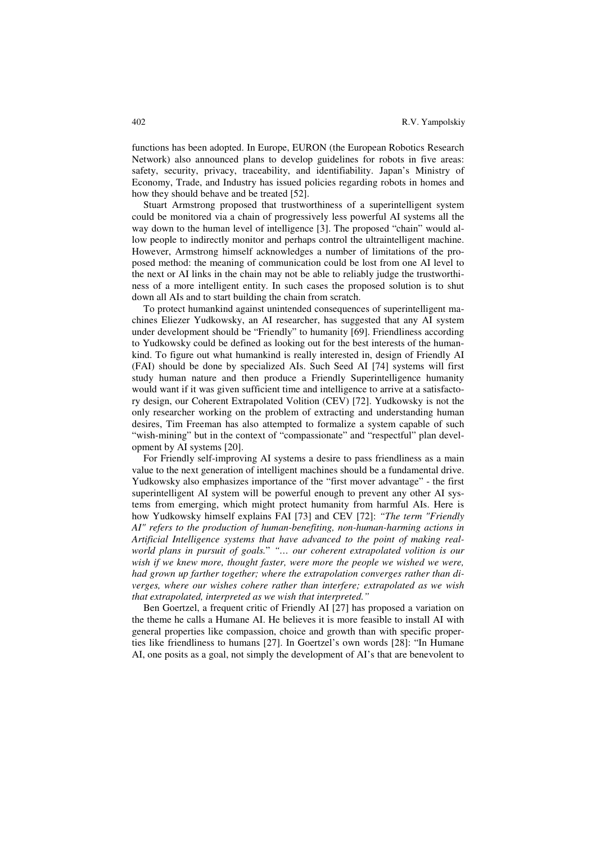functions has been adopted. In Europe, EURON (the European Robotics Research Network) also announced plans to develop guidelines for robots in five areas: safety, security, privacy, traceability, and identifiability. Japan's Ministry of Economy, Trade, and Industry has issued policies regarding robots in homes and how they should behave and be treated [52].

Stuart Armstrong proposed that trustworthiness of a superintelligent system could be monitored via a chain of progressively less powerful AI systems all the way down to the human level of intelligence [3]. The proposed "chain" would allow people to indirectly monitor and perhaps control the ultraintelligent machine. However, Armstrong himself acknowledges a number of limitations of the proposed method: the meaning of communication could be lost from one AI level to the next or AI links in the chain may not be able to reliably judge the trustworthiness of a more intelligent entity. In such cases the proposed solution is to shut down all AIs and to start building the chain from scratch.

To protect humankind against unintended consequences of superintelligent machines Eliezer Yudkowsky, an AI researcher, has suggested that any AI system under development should be "Friendly" to humanity [69]. Friendliness according to Yudkowsky could be defined as looking out for the best interests of the humankind. To figure out what humankind is really interested in, design of Friendly AI (FAI) should be done by specialized AIs. Such Seed AI [74] systems will first study human nature and then produce a Friendly Superintelligence humanity would want if it was given sufficient time and intelligence to arrive at a satisfactory design, our Coherent Extrapolated Volition (CEV) [72]. Yudkowsky is not the only researcher working on the problem of extracting and understanding human desires, Tim Freeman has also attempted to formalize a system capable of such "wish-mining" but in the context of "compassionate" and "respectful" plan development by AI systems [20].

For Friendly self-improving AI systems a desire to pass friendliness as a main value to the next generation of intelligent machines should be a fundamental drive. Yudkowsky also emphasizes importance of the "first mover advantage" - the first superintelligent AI system will be powerful enough to prevent any other AI systems from emerging, which might protect humanity from harmful AIs. Here is how Yudkowsky himself explains FAI [73] and CEV [72]: *"The term "Friendly AI" refers to the production of human-benefiting, non-human-harming actions in Artificial Intelligence systems that have advanced to the point of making realworld plans in pursuit of goals.*" *"… our coherent extrapolated volition is our wish if we knew more, thought faster, were more the people we wished we were, had grown up farther together; where the extrapolation converges rather than diverges, where our wishes cohere rather than interfere; extrapolated as we wish that extrapolated, interpreted as we wish that interpreted."* 

Ben Goertzel, a frequent critic of Friendly AI [27] has proposed a variation on the theme he calls a Humane AI. He believes it is more feasible to install AI with general properties like compassion, choice and growth than with specific properties like friendliness to humans [27]. In Goertzel's own words [28]: "In Humane AI, one posits as a goal, not simply the development of AI's that are benevolent to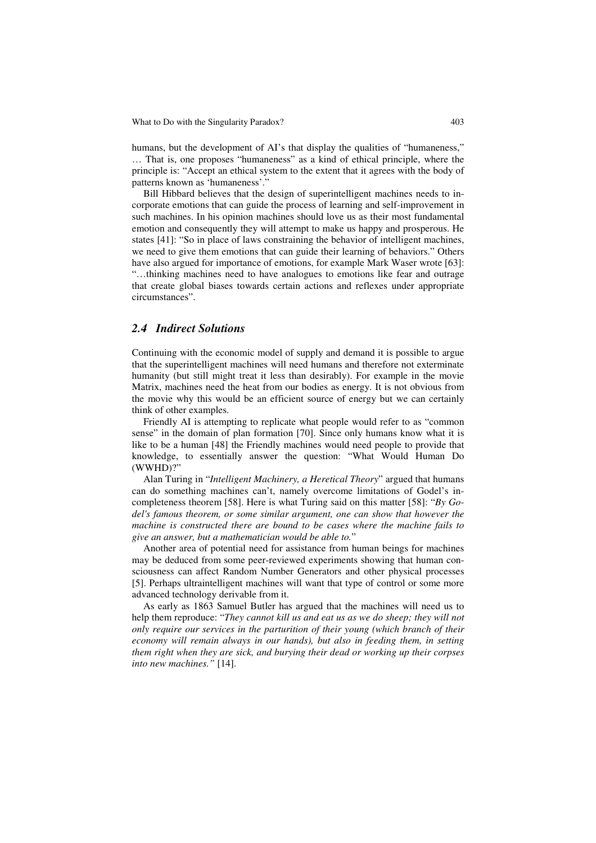humans, but the development of AI's that display the qualities of "humaneness," … That is, one proposes "humaneness" as a kind of ethical principle, where the principle is: "Accept an ethical system to the extent that it agrees with the body of patterns known as 'humaneness'."

Bill Hibbard believes that the design of superintelligent machines needs to incorporate emotions that can guide the process of learning and self-improvement in such machines. In his opinion machines should love us as their most fundamental emotion and consequently they will attempt to make us happy and prosperous. He states [41]: "So in place of laws constraining the behavior of intelligent machines, we need to give them emotions that can guide their learning of behaviors." Others have also argued for importance of emotions, for example Mark Waser wrote [63]: "…thinking machines need to have analogues to emotions like fear and outrage that create global biases towards certain actions and reflexes under appropriate circumstances".

#### *2.4 Indirect Solutions*

Continuing with the economic model of supply and demand it is possible to argue that the superintelligent machines will need humans and therefore not exterminate humanity (but still might treat it less than desirably). For example in the movie Matrix, machines need the heat from our bodies as energy. It is not obvious from the movie why this would be an efficient source of energy but we can certainly think of other examples.

Friendly AI is attempting to replicate what people would refer to as "common sense" in the domain of plan formation [70]. Since only humans know what it is like to be a human [48] the Friendly machines would need people to provide that knowledge, to essentially answer the question: "What Would Human Do (WWHD)?"

Alan Turing in "*Intelligent Machinery, a Heretical Theory*" argued that humans can do something machines can't, namely overcome limitations of Godel's incompleteness theorem [58]. Here is what Turing said on this matter [58]: "*By Godel's famous theorem, or some similar argument, one can show that however the machine is constructed there are bound to be cases where the machine fails to give an answer, but a mathematician would be able to.*"

Another area of potential need for assistance from human beings for machines may be deduced from some peer-reviewed experiments showing that human consciousness can affect Random Number Generators and other physical processes [5]. Perhaps ultraintelligent machines will want that type of control or some more advanced technology derivable from it.

As early as 1863 Samuel Butler has argued that the machines will need us to help them reproduce: "*They cannot kill us and eat us as we do sheep; they will not only require our services in the parturition of their young (which branch of their economy will remain always in our hands), but also in feeding them, in setting them right when they are sick, and burying their dead or working up their corpses into new machines."* [14].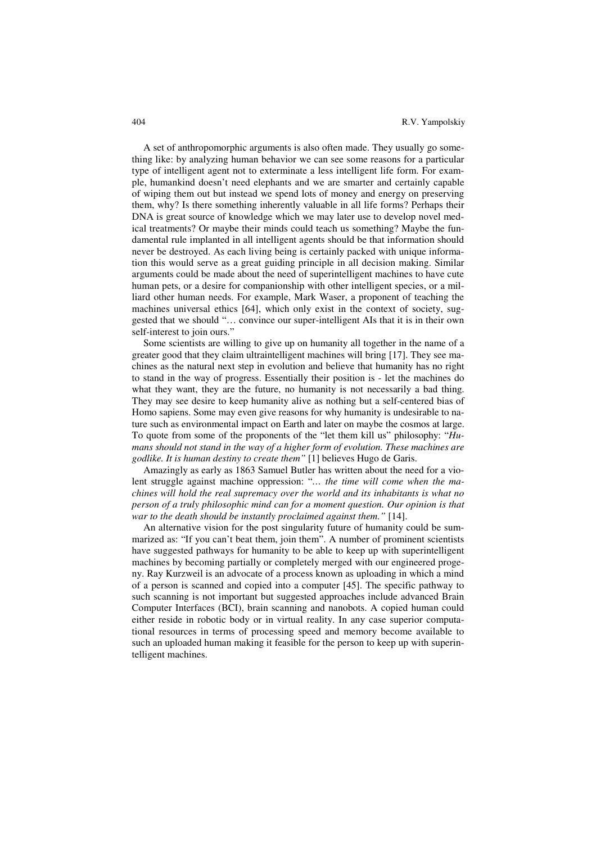A set of anthropomorphic arguments is also often made. They usually go something like: by analyzing human behavior we can see some reasons for a particular type of intelligent agent not to exterminate a less intelligent life form. For example, humankind doesn't need elephants and we are smarter and certainly capable of wiping them out but instead we spend lots of money and energy on preserving them, why? Is there something inherently valuable in all life forms? Perhaps their DNA is great source of knowledge which we may later use to develop novel medical treatments? Or maybe their minds could teach us something? Maybe the fundamental rule implanted in all intelligent agents should be that information should never be destroyed. As each living being is certainly packed with unique information this would serve as a great guiding principle in all decision making. Similar arguments could be made about the need of superintelligent machines to have cute human pets, or a desire for companionship with other intelligent species, or a milliard other human needs. For example, Mark Waser, a proponent of teaching the machines universal ethics [64], which only exist in the context of society, suggested that we should "… convince our super-intelligent AIs that it is in their own self-interest to join ours."

Some scientists are willing to give up on humanity all together in the name of a greater good that they claim ultraintelligent machines will bring [17]. They see machines as the natural next step in evolution and believe that humanity has no right to stand in the way of progress. Essentially their position is - let the machines do what they want, they are the future, no humanity is not necessarily a bad thing. They may see desire to keep humanity alive as nothing but a self-centered bias of Homo sapiens. Some may even give reasons for why humanity is undesirable to nature such as environmental impact on Earth and later on maybe the cosmos at large. To quote from some of the proponents of the "let them kill us" philosophy: "*Humans should not stand in the way of a higher form of evolution. These machines are godlike. It is human destiny to create them"* [1] believes Hugo de Garis.

Amazingly as early as 1863 Samuel Butler has written about the need for a violent struggle against machine oppression: "*… the time will come when the machines will hold the real supremacy over the world and its inhabitants is what no person of a truly philosophic mind can for a moment question. Our opinion is that war to the death should be instantly proclaimed against them."* [14].

An alternative vision for the post singularity future of humanity could be summarized as: "If you can't beat them, join them". A number of prominent scientists have suggested pathways for humanity to be able to keep up with superintelligent machines by becoming partially or completely merged with our engineered progeny. Ray Kurzweil is an advocate of a process known as uploading in which a mind of a person is scanned and copied into a computer [45]. The specific pathway to such scanning is not important but suggested approaches include advanced Brain Computer Interfaces (BCI), brain scanning and nanobots. A copied human could either reside in robotic body or in virtual reality. In any case superior computational resources in terms of processing speed and memory become available to such an uploaded human making it feasible for the person to keep up with superintelligent machines.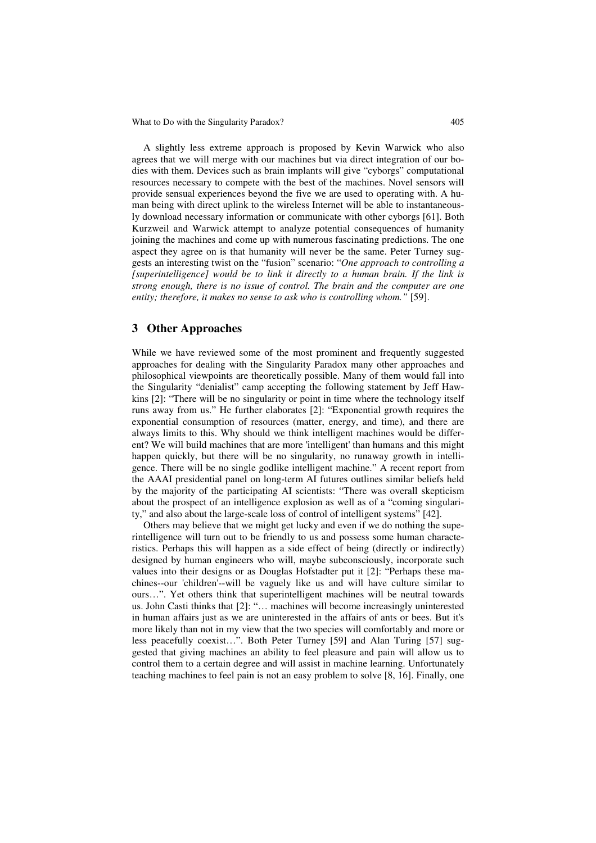A slightly less extreme approach is proposed by Kevin Warwick who also agrees that we will merge with our machines but via direct integration of our bodies with them. Devices such as brain implants will give "cyborgs" computational resources necessary to compete with the best of the machines. Novel sensors will provide sensual experiences beyond the five we are used to operating with. A human being with direct uplink to the wireless Internet will be able to instantaneously download necessary information or communicate with other cyborgs [61]. Both Kurzweil and Warwick attempt to analyze potential consequences of humanity joining the machines and come up with numerous fascinating predictions. The one aspect they agree on is that humanity will never be the same. Peter Turney suggests an interesting twist on the "fusion" scenario: "*One approach to controlling a [superintelligence] would be to link it directly to a human brain. If the link is strong enough, there is no issue of control. The brain and the computer are one entity; therefore, it makes no sense to ask who is controlling whom."* [59].

### **3 Other Approaches**

While we have reviewed some of the most prominent and frequently suggested approaches for dealing with the Singularity Paradox many other approaches and philosophical viewpoints are theoretically possible. Many of them would fall into the Singularity "denialist" camp accepting the following statement by Jeff Hawkins [2]: "There will be no singularity or point in time where the technology itself runs away from us." He further elaborates [2]: "Exponential growth requires the exponential consumption of resources (matter, energy, and time), and there are always limits to this. Why should we think intelligent machines would be different? We will build machines that are more 'intelligent' than humans and this might happen quickly, but there will be no singularity, no runaway growth in intelligence. There will be no single godlike intelligent machine." A recent report from the AAAI presidential panel on long-term AI futures outlines similar beliefs held by the majority of the participating AI scientists: "There was overall skepticism about the prospect of an intelligence explosion as well as of a "coming singularity," and also about the large-scale loss of control of intelligent systems" [42].

Others may believe that we might get lucky and even if we do nothing the superintelligence will turn out to be friendly to us and possess some human characteristics. Perhaps this will happen as a side effect of being (directly or indirectly) designed by human engineers who will, maybe subconsciously, incorporate such values into their designs or as Douglas Hofstadter put it [2]: "Perhaps these machines--our 'children'--will be vaguely like us and will have culture similar to ours…". Yet others think that superintelligent machines will be neutral towards us. John Casti thinks that [2]: "… machines will become increasingly uninterested in human affairs just as we are uninterested in the affairs of ants or bees. But it's more likely than not in my view that the two species will comfortably and more or less peacefully coexist…". Both Peter Turney [59] and Alan Turing [57] suggested that giving machines an ability to feel pleasure and pain will allow us to control them to a certain degree and will assist in machine learning. Unfortunately teaching machines to feel pain is not an easy problem to solve [8, 16]. Finally, one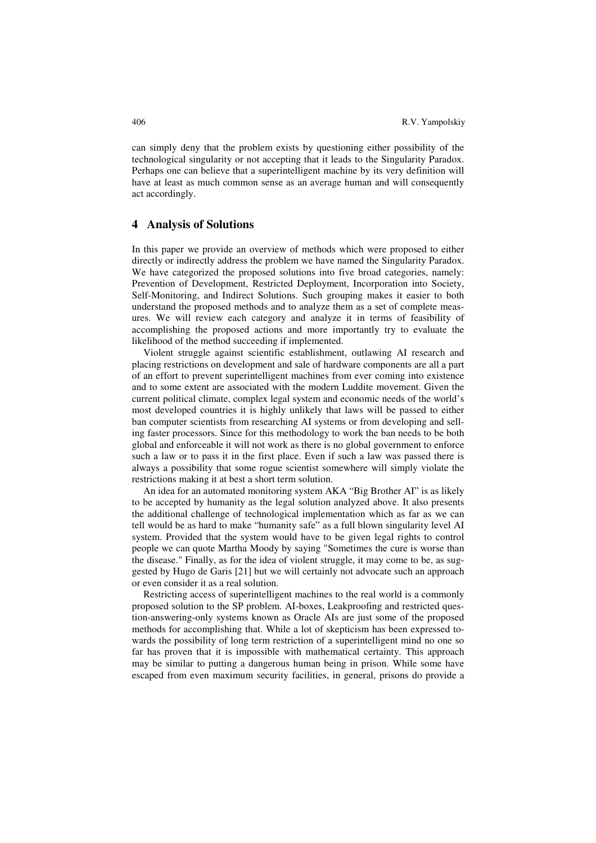can simply deny that the problem exists by questioning either possibility of the technological singularity or not accepting that it leads to the Singularity Paradox. Perhaps one can believe that a superintelligent machine by its very definition will have at least as much common sense as an average human and will consequently act accordingly.

#### **4 Analysis of Solutions**

In this paper we provide an overview of methods which were proposed to either directly or indirectly address the problem we have named the Singularity Paradox. We have categorized the proposed solutions into five broad categories, namely: Prevention of Development, Restricted Deployment, Incorporation into Society, Self-Monitoring, and Indirect Solutions. Such grouping makes it easier to both understand the proposed methods and to analyze them as a set of complete measures. We will review each category and analyze it in terms of feasibility of accomplishing the proposed actions and more importantly try to evaluate the likelihood of the method succeeding if implemented.

Violent struggle against scientific establishment, outlawing AI research and placing restrictions on development and sale of hardware components are all a part of an effort to prevent superintelligent machines from ever coming into existence and to some extent are associated with the modern Luddite movement. Given the current political climate, complex legal system and economic needs of the world's most developed countries it is highly unlikely that laws will be passed to either ban computer scientists from researching AI systems or from developing and selling faster processors. Since for this methodology to work the ban needs to be both global and enforceable it will not work as there is no global government to enforce such a law or to pass it in the first place. Even if such a law was passed there is always a possibility that some rogue scientist somewhere will simply violate the restrictions making it at best a short term solution.

An idea for an automated monitoring system AKA "Big Brother AI" is as likely to be accepted by humanity as the legal solution analyzed above. It also presents the additional challenge of technological implementation which as far as we can tell would be as hard to make "humanity safe" as a full blown singularity level AI system. Provided that the system would have to be given legal rights to control people we can quote Martha Moody by saying "Sometimes the cure is worse than the disease." Finally, as for the idea of violent struggle, it may come to be, as suggested by Hugo de Garis [21] but we will certainly not advocate such an approach or even consider it as a real solution.

Restricting access of superintelligent machines to the real world is a commonly proposed solution to the SP problem. AI-boxes, Leakproofing and restricted question-answering-only systems known as Oracle AIs are just some of the proposed methods for accomplishing that. While a lot of skepticism has been expressed towards the possibility of long term restriction of a superintelligent mind no one so far has proven that it is impossible with mathematical certainty. This approach may be similar to putting a dangerous human being in prison. While some have escaped from even maximum security facilities, in general, prisons do provide a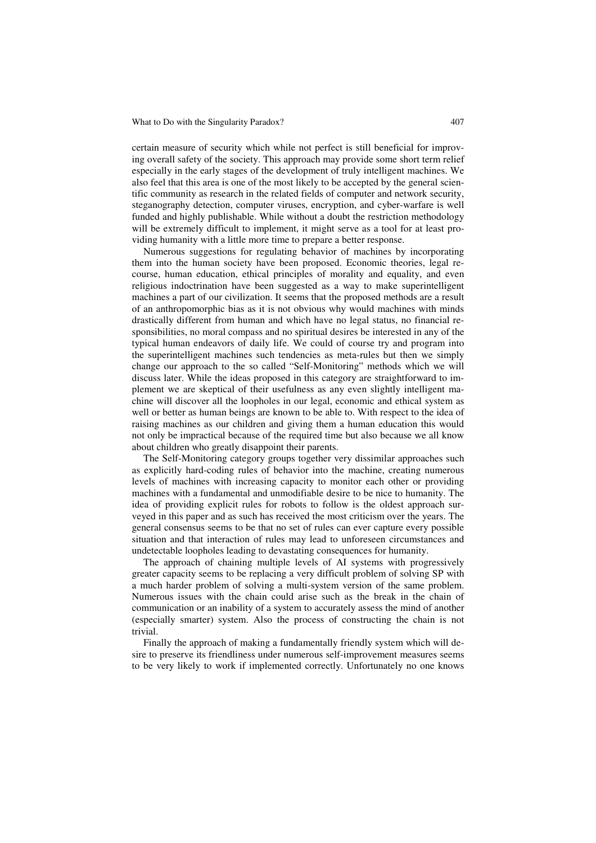certain measure of security which while not perfect is still beneficial for improving overall safety of the society. This approach may provide some short term relief especially in the early stages of the development of truly intelligent machines. We also feel that this area is one of the most likely to be accepted by the general scientific community as research in the related fields of computer and network security, steganography detection, computer viruses, encryption, and cyber-warfare is well funded and highly publishable. While without a doubt the restriction methodology will be extremely difficult to implement, it might serve as a tool for at least providing humanity with a little more time to prepare a better response.

Numerous suggestions for regulating behavior of machines by incorporating them into the human society have been proposed. Economic theories, legal recourse, human education, ethical principles of morality and equality, and even religious indoctrination have been suggested as a way to make superintelligent machines a part of our civilization. It seems that the proposed methods are a result of an anthropomorphic bias as it is not obvious why would machines with minds drastically different from human and which have no legal status, no financial responsibilities, no moral compass and no spiritual desires be interested in any of the typical human endeavors of daily life. We could of course try and program into the superintelligent machines such tendencies as meta-rules but then we simply change our approach to the so called "Self-Monitoring" methods which we will discuss later. While the ideas proposed in this category are straightforward to implement we are skeptical of their usefulness as any even slightly intelligent machine will discover all the loopholes in our legal, economic and ethical system as well or better as human beings are known to be able to. With respect to the idea of raising machines as our children and giving them a human education this would not only be impractical because of the required time but also because we all know about children who greatly disappoint their parents.

The Self-Monitoring category groups together very dissimilar approaches such as explicitly hard-coding rules of behavior into the machine, creating numerous levels of machines with increasing capacity to monitor each other or providing machines with a fundamental and unmodifiable desire to be nice to humanity. The idea of providing explicit rules for robots to follow is the oldest approach surveyed in this paper and as such has received the most criticism over the years. The general consensus seems to be that no set of rules can ever capture every possible situation and that interaction of rules may lead to unforeseen circumstances and undetectable loopholes leading to devastating consequences for humanity.

The approach of chaining multiple levels of AI systems with progressively greater capacity seems to be replacing a very difficult problem of solving SP with a much harder problem of solving a multi-system version of the same problem. Numerous issues with the chain could arise such as the break in the chain of communication or an inability of a system to accurately assess the mind of another (especially smarter) system. Also the process of constructing the chain is not trivial.

Finally the approach of making a fundamentally friendly system which will desire to preserve its friendliness under numerous self-improvement measures seems to be very likely to work if implemented correctly. Unfortunately no one knows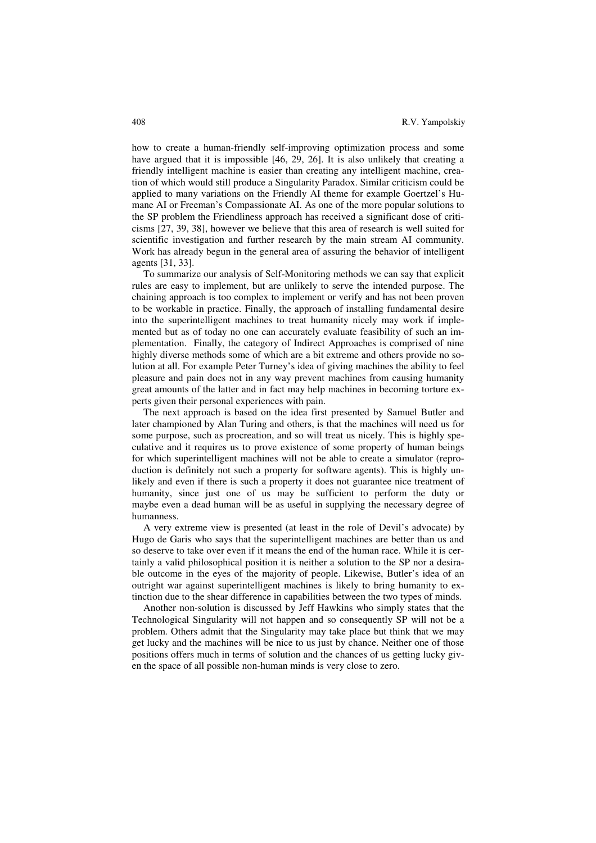how to create a human-friendly self-improving optimization process and some have argued that it is impossible [46, 29, 26]. It is also unlikely that creating a friendly intelligent machine is easier than creating any intelligent machine, creation of which would still produce a Singularity Paradox. Similar criticism could be applied to many variations on the Friendly AI theme for example Goertzel's Humane AI or Freeman's Compassionate AI. As one of the more popular solutions to the SP problem the Friendliness approach has received a significant dose of criticisms [27, 39, 38], however we believe that this area of research is well suited for scientific investigation and further research by the main stream AI community. Work has already begun in the general area of assuring the behavior of intelligent agents [31, 33].

To summarize our analysis of Self-Monitoring methods we can say that explicit rules are easy to implement, but are unlikely to serve the intended purpose. The chaining approach is too complex to implement or verify and has not been proven to be workable in practice. Finally, the approach of installing fundamental desire into the superintelligent machines to treat humanity nicely may work if implemented but as of today no one can accurately evaluate feasibility of such an implementation. Finally, the category of Indirect Approaches is comprised of nine highly diverse methods some of which are a bit extreme and others provide no solution at all. For example Peter Turney's idea of giving machines the ability to feel pleasure and pain does not in any way prevent machines from causing humanity great amounts of the latter and in fact may help machines in becoming torture experts given their personal experiences with pain.

The next approach is based on the idea first presented by Samuel Butler and later championed by Alan Turing and others, is that the machines will need us for some purpose, such as procreation, and so will treat us nicely. This is highly speculative and it requires us to prove existence of some property of human beings for which superintelligent machines will not be able to create a simulator (reproduction is definitely not such a property for software agents). This is highly unlikely and even if there is such a property it does not guarantee nice treatment of humanity, since just one of us may be sufficient to perform the duty or maybe even a dead human will be as useful in supplying the necessary degree of humanness.

A very extreme view is presented (at least in the role of Devil's advocate) by Hugo de Garis who says that the superintelligent machines are better than us and so deserve to take over even if it means the end of the human race. While it is certainly a valid philosophical position it is neither a solution to the SP nor a desirable outcome in the eyes of the majority of people. Likewise, Butler's idea of an outright war against superintelligent machines is likely to bring humanity to extinction due to the shear difference in capabilities between the two types of minds.

Another non-solution is discussed by Jeff Hawkins who simply states that the Technological Singularity will not happen and so consequently SP will not be a problem. Others admit that the Singularity may take place but think that we may get lucky and the machines will be nice to us just by chance. Neither one of those positions offers much in terms of solution and the chances of us getting lucky given the space of all possible non-human minds is very close to zero.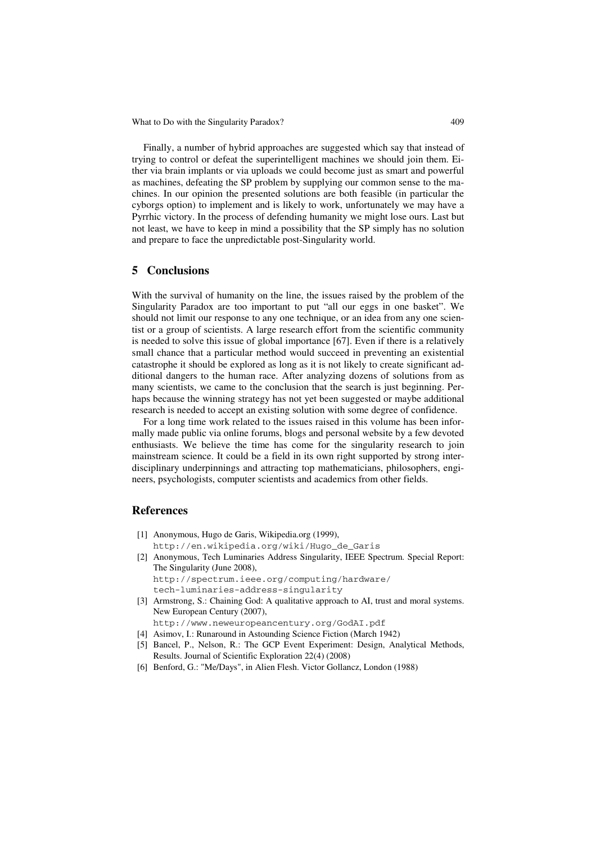Finally, a number of hybrid approaches are suggested which say that instead of trying to control or defeat the superintelligent machines we should join them. Either via brain implants or via uploads we could become just as smart and powerful as machines, defeating the SP problem by supplying our common sense to the machines. In our opinion the presented solutions are both feasible (in particular the cyborgs option) to implement and is likely to work, unfortunately we may have a Pyrrhic victory. In the process of defending humanity we might lose ours. Last but not least, we have to keep in mind a possibility that the SP simply has no solution and prepare to face the unpredictable post-Singularity world.

### **5 Conclusions**

With the survival of humanity on the line, the issues raised by the problem of the Singularity Paradox are too important to put "all our eggs in one basket". We should not limit our response to any one technique, or an idea from any one scientist or a group of scientists. A large research effort from the scientific community is needed to solve this issue of global importance [67]. Even if there is a relatively small chance that a particular method would succeed in preventing an existential catastrophe it should be explored as long as it is not likely to create significant additional dangers to the human race. After analyzing dozens of solutions from as many scientists, we came to the conclusion that the search is just beginning. Perhaps because the winning strategy has not yet been suggested or maybe additional research is needed to accept an existing solution with some degree of confidence.

For a long time work related to the issues raised in this volume has been informally made public via online forums, blogs and personal website by a few devoted enthusiasts. We believe the time has come for the singularity research to join mainstream science. It could be a field in its own right supported by strong interdisciplinary underpinnings and attracting top mathematicians, philosophers, engineers, psychologists, computer scientists and academics from other fields.

#### **References**

- [1] Anonymous, Hugo de Garis, Wikipedia.org (1999), http://en.wikipedia.org/wiki/Hugo\_de\_Garis
- [2] Anonymous, Tech Luminaries Address Singularity, IEEE Spectrum. Special Report: The Singularity (June 2008), http://spectrum.ieee.org/computing/hardware/ tech-luminaries-address-singularity
- [3] Armstrong, S.: Chaining God: A qualitative approach to AI, trust and moral systems. New European Century (2007),

http://www.neweuropeancentury.org/GodAI.pdf

- [4] Asimov, I.: Runaround in Astounding Science Fiction (March 1942)
- [5] Bancel, P., Nelson, R.: The GCP Event Experiment: Design, Analytical Methods, Results. Journal of Scientific Exploration 22(4) (2008)
- [6] Benford, G.: "Me/Days", in Alien Flesh. Victor Gollancz, London (1988)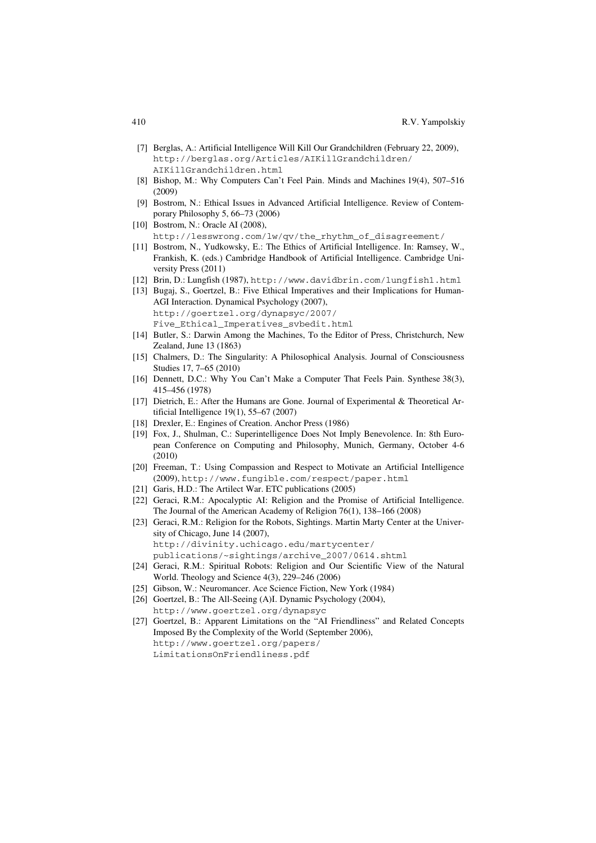- [7] Berglas, A.: Artificial Intelligence Will Kill Our Grandchildren (February 22, 2009), http://berglas.org/Articles/AIKillGrandchildren/ AIKillGrandchildren.html
- [8] Bishop, M.: Why Computers Can't Feel Pain. Minds and Machines 19(4), 507–516 (2009)
- [9] Bostrom, N.: Ethical Issues in Advanced Artificial Intelligence. Review of Contemporary Philosophy 5, 66–73 (2006)
- [10] Bostrom, N.: Oracle AI (2008), http://lesswrong.com/lw/qv/the\_rhythm\_of\_disagreement/
- [11] Bostrom, N., Yudkowsky, E.: The Ethics of Artificial Intelligence. In: Ramsey, W., Frankish, K. (eds.) Cambridge Handbook of Artificial Intelligence. Cambridge University Press (2011)
- [12] Brin, D.: Lungfish (1987), http://www.davidbrin.com/lungfish1.html
- [13] Bugaj, S., Goertzel, B.: Five Ethical Imperatives and their Implications for Human-AGI Interaction. Dynamical Psychology (2007), http://goertzel.org/dynapsyc/2007/ Five\_Ethical\_Imperatives\_svbedit.html
- [14] Butler, S.: Darwin Among the Machines, To the Editor of Press, Christchurch, New Zealand, June 13 (1863)
- [15] Chalmers, D.: The Singularity: A Philosophical Analysis. Journal of Consciousness Studies 17, 7–65 (2010)
- [16] Dennett, D.C.: Why You Can't Make a Computer That Feels Pain. Synthese 38(3), 415–456 (1978)
- [17] Dietrich, E.: After the Humans are Gone. Journal of Experimental & Theoretical Artificial Intelligence 19(1), 55–67 (2007)
- [18] Drexler, E.: Engines of Creation. Anchor Press (1986)
- [19] Fox, J., Shulman, C.: Superintelligence Does Not Imply Benevolence. In: 8th European Conference on Computing and Philosophy, Munich, Germany, October 4-6 (2010)
- [20] Freeman, T.: Using Compassion and Respect to Motivate an Artificial Intelligence (2009), http://www.fungible.com/respect/paper.html
- [21] Garis, H.D.: The Artilect War. ETC publications (2005)
- [22] Geraci, R.M.: Apocalyptic AI: Religion and the Promise of Artificial Intelligence. The Journal of the American Academy of Religion 76(1), 138–166 (2008)
- [23] Geraci, R.M.: Religion for the Robots, Sightings. Martin Marty Center at the University of Chicago, June 14 (2007), http://divinity.uchicago.edu/martycenter/ publications/~sightings/archive\_2007/0614.shtml
- [24] Geraci, R.M.: Spiritual Robots: Religion and Our Scientific View of the Natural World. Theology and Science 4(3), 229–246 (2006)
- [25] Gibson, W.: Neuromancer. Ace Science Fiction, New York (1984)
- [26] Goertzel, B.: The All-Seeing (A)I. Dynamic Psychology (2004), http://www.goertzel.org/dynapsyc
- [27] Goertzel, B.: Apparent Limitations on the "AI Friendliness" and Related Concepts Imposed By the Complexity of the World (September 2006), http://www.goertzel.org/papers/ LimitationsOnFriendliness.pdf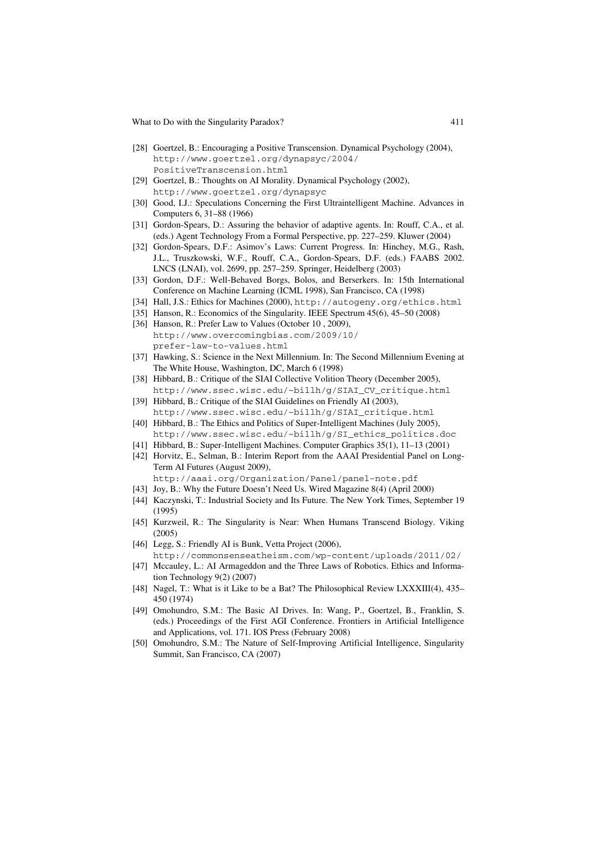- [28] Goertzel, B.: Encouraging a Positive Transcension. Dynamical Psychology (2004), http://www.goertzel.org/dynapsyc/2004/ PositiveTranscension.html
- [29] Goertzel, B.: Thoughts on AI Morality. Dynamical Psychology (2002), http://www.goertzel.org/dynapsyc
- [30] Good, I.J.: Speculations Concerning the First Ultraintelligent Machine. Advances in Computers 6, 31–88 (1966)
- [31] Gordon-Spears, D.: Assuring the behavior of adaptive agents. In: Rouff, C.A., et al. (eds.) Agent Technology From a Formal Perspective, pp. 227–259. Kluwer (2004)
- [32] Gordon-Spears, D.F.: Asimov's Laws: Current Progress. In: Hinchey, M.G., Rash, J.L., Truszkowski, W.F., Rouff, C.A., Gordon-Spears, D.F. (eds.) FAABS 2002. LNCS (LNAI), vol. 2699, pp. 257–259. Springer, Heidelberg (2003)
- [33] Gordon, D.F.: Well-Behaved Borgs, Bolos, and Berserkers. In: 15th International Conference on Machine Learning (ICML 1998), San Francisco, CA (1998)
- [34] Hall, J.S.: Ethics for Machines (2000), http://autogeny.org/ethics.html
- [35] Hanson, R.: Economics of the Singularity. IEEE Spectrum 45(6), 45–50 (2008)
- [36] Hanson, R.: Prefer Law to Values (October 10, 2009), http://www.overcomingbias.com/2009/10/ prefer-law-to-values.html
- [37] Hawking, S.: Science in the Next Millennium. In: The Second Millennium Evening at The White House, Washington, DC, March 6 (1998)
- [38] Hibbard, B.: Critique of the SIAI Collective Volition Theory (December 2005), http://www.ssec.wisc.edu/~billh/g/SIAI\_CV\_critique.html
- [39] Hibbard, B.: Critique of the SIAI Guidelines on Friendly AI (2003), http://www.ssec.wisc.edu/~billh/g/SIAI\_critique.html
- [40] Hibbard, B.: The Ethics and Politics of Super-Intelligent Machines (July 2005), http://www.ssec.wisc.edu/~billh/g/SI\_ethics\_politics.doc
- [41] Hibbard, B.: Super-Intelligent Machines. Computer Graphics 35(1), 11–13 (2001)
- [42] Horvitz, E., Selman, B.: Interim Report from the AAAI Presidential Panel on Long-Term AI Futures (August 2009), http://aaai.org/Organization/Panel/panel-note.pdf
- [43] Joy, B.: Why the Future Doesn't Need Us. Wired Magazine 8(4) (April 2000)
- [44] Kaczynski, T.: Industrial Society and Its Future. The New York Times, September 19 (1995)
- [45] Kurzweil, R.: The Singularity is Near: When Humans Transcend Biology. Viking  $(2005)$
- [46] Legg, S.: Friendly AI is Bunk, Vetta Project (2006), http://commonsenseatheism.com/wp-content/uploads/2011/02/
- [47] Mccauley, L.: AI Armageddon and the Three Laws of Robotics. Ethics and Information Technology 9(2) (2007)
- [48] Nagel, T.: What is it Like to be a Bat? The Philosophical Review LXXXIII(4), 435– 450 (1974)
- [49] Omohundro, S.M.: The Basic AI Drives. In: Wang, P., Goertzel, B., Franklin, S. (eds.) Proceedings of the First AGI Conference. Frontiers in Artificial Intelligence and Applications, vol. 171. IOS Press (February 2008)
- [50] Omohundro, S.M.: The Nature of Self-Improving Artificial Intelligence, Singularity Summit, San Francisco, CA (2007)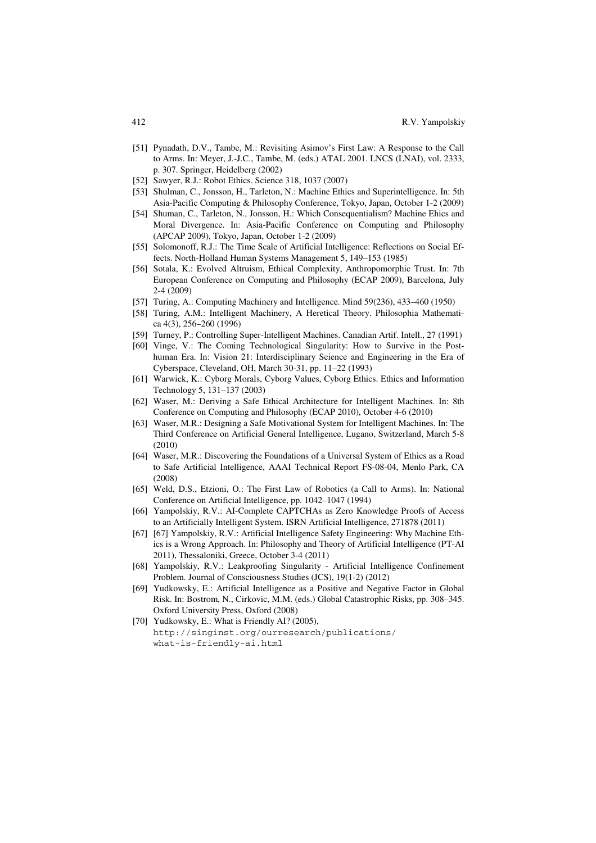- [51] Pynadath, D.V., Tambe, M.: Revisiting Asimov's First Law: A Response to the Call to Arms. In: Meyer, J.-J.C., Tambe, M. (eds.) ATAL 2001. LNCS (LNAI), vol. 2333, p. 307. Springer, Heidelberg (2002)
- [52] Sawyer, R.J.: Robot Ethics. Science 318, 1037 (2007)
- [53] Shulman, C., Jonsson, H., Tarleton, N.: Machine Ethics and Superintelligence. In: 5th Asia-Pacific Computing & Philosophy Conference, Tokyo, Japan, October 1-2 (2009)
- [54] Shuman, C., Tarleton, N., Jonsson, H.: Which Consequentialism? Machine Ehics and Moral Divergence. In: Asia-Pacific Conference on Computing and Philosophy (APCAP 2009), Tokyo, Japan, October 1-2 (2009)
- [55] Solomonoff, R.J.: The Time Scale of Artificial Intelligence: Reflections on Social Effects. North-Holland Human Systems Management 5, 149–153 (1985)
- [56] Sotala, K.: Evolved Altruism, Ethical Complexity, Anthropomorphic Trust. In: 7th European Conference on Computing and Philosophy (ECAP 2009), Barcelona, July 2-4 (2009)
- [57] Turing, A.: Computing Machinery and Intelligence. Mind 59(236), 433–460 (1950)
- [58] Turing, A.M.: Intelligent Machinery, A Heretical Theory. Philosophia Mathematica 4(3), 256–260 (1996)
- [59] Turney, P.: Controlling Super-Intelligent Machines. Canadian Artif. Intell., 27 (1991)
- [60] Vinge, V.: The Coming Technological Singularity: How to Survive in the Posthuman Era. In: Vision 21: Interdisciplinary Science and Engineering in the Era of Cyberspace, Cleveland, OH, March 30-31, pp. 11–22 (1993)
- [61] Warwick, K.: Cyborg Morals, Cyborg Values, Cyborg Ethics. Ethics and Information Technology 5, 131–137 (2003)
- [62] Waser, M.: Deriving a Safe Ethical Architecture for Intelligent Machines. In: 8th Conference on Computing and Philosophy (ECAP 2010), October 4-6 (2010)
- [63] Waser, M.R.: Designing a Safe Motivational System for Intelligent Machines. In: The Third Conference on Artificial General Intelligence, Lugano, Switzerland, March 5-8 (2010)
- [64] Waser, M.R.: Discovering the Foundations of a Universal System of Ethics as a Road to Safe Artificial Intelligence, AAAI Technical Report FS-08-04, Menlo Park, CA (2008)
- [65] Weld, D.S., Etzioni, O.: The First Law of Robotics (a Call to Arms). In: National Conference on Artificial Intelligence, pp. 1042–1047 (1994)
- [66] Yampolskiy, R.V.: AI-Complete CAPTCHAs as Zero Knowledge Proofs of Access to an Artificially Intelligent System. ISRN Artificial Intelligence, 271878 (2011)
- [67] [67] Yampolskiy, R.V.: Artificial Intelligence Safety Engineering: Why Machine Ethics is a Wrong Approach. In: Philosophy and Theory of Artificial Intelligence (PT-AI 2011), Thessaloniki, Greece, October 3-4 (2011)
- [68] Yampolskiy, R.V.: Leakproofing Singularity Artificial Intelligence Confinement Problem. Journal of Consciousness Studies (JCS), 19(1-2) (2012)
- [69] Yudkowsky, E.: Artificial Intelligence as a Positive and Negative Factor in Global Risk. In: Bostrom, N., Cirkovic, M.M. (eds.) Global Catastrophic Risks, pp. 308–345. Oxford University Press, Oxford (2008)
- [70] Yudkowsky, E.: What is Friendly AI? (2005), http://singinst.org/ourresearch/publications/ what-is-friendly-ai.html